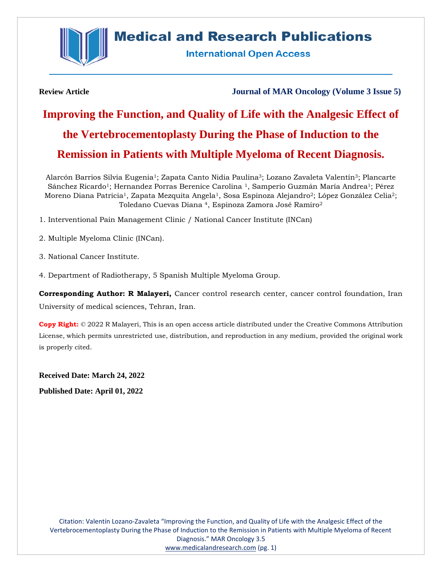

# **Medical and Research Publications**

**International Open Access** 

**Review Article Journal of MAR Oncology (Volume 3 Issue 5)**

# **Improving the Function, and Quality of Life with the Analgesic Effect of the Vertebrocementoplasty During the Phase of Induction to the Remission in Patients with Multiple Myeloma of Recent Diagnosis.**

Alarcón Barrios Silvia Eugenia1; Zapata Canto Nidia Paulina3; Lozano Zavaleta Valentín3; Plancarte Sánchez Ricardo<sup>1</sup>; Hernandez Porras Berenice Carolina<sup>1</sup>, Samperio Guzmán María Andrea<sup>1</sup>; Pérez Moreno Diana Patricia<sup>1</sup>, Zapata Mezquita Angela<sup>1</sup>, Sosa Espinoza Alejandro<sup>2</sup>; López González Celia<sup>2</sup>; Toledano Cuevas Diana 4, Espinoza Zamora José Ramiro<sup>2</sup>

- 1. Interventional Pain Management Clinic / National Cancer Institute (INCan)
- 2. Multiple Myeloma Clinic (INCan).
- 3. National Cancer Institute.
- 4. Department of Radiotherapy, 5 Spanish Multiple Myeloma Group.

**Corresponding Author: R Malayeri,** Cancer control research center, cancer control foundation, Iran University of medical sciences, Tehran, Iran.

**Copy Right:** © 2022 R Malayeri, This is an open access article distributed under the Creative Commons Attribution License, which permits unrestricted use, distribution, and reproduction in any medium, provided the original work is properly cited.

**Received Date: March 24, 2022 Published Date: April 01, 2022**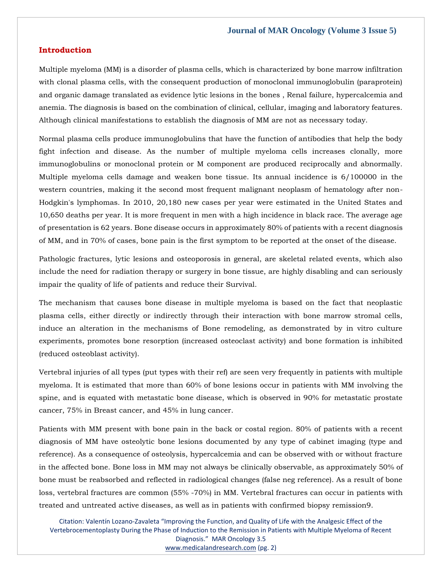#### **Introduction**

Multiple myeloma (MM) is a disorder of plasma cells, which is characterized by bone marrow infiltration with clonal plasma cells, with the consequent production of monoclonal immunoglobulin (paraprotein) and organic damage translated as evidence lytic lesions in the bones , Renal failure, hypercalcemia and anemia. The diagnosis is based on the combination of clinical, cellular, imaging and laboratory features. Although clinical manifestations to establish the diagnosis of MM are not as necessary today.

Normal plasma cells produce immunoglobulins that have the function of antibodies that help the body fight infection and disease. As the number of multiple myeloma cells increases clonally, more immunoglobulins or monoclonal protein or M component are produced reciprocally and abnormally. Multiple myeloma cells damage and weaken bone tissue. Its annual incidence is 6/100000 in the western countries, making it the second most frequent malignant neoplasm of hematology after non-Hodgkin's lymphomas. In 2010, 20,180 new cases per year were estimated in the United States and 10,650 deaths per year. It is more frequent in men with a high incidence in black race. The average age of presentation is 62 years. Bone disease occurs in approximately 80% of patients with a recent diagnosis of MM, and in 70% of cases, bone pain is the first symptom to be reported at the onset of the disease.

Pathologic fractures, lytic lesions and osteoporosis in general, are skeletal related events, which also include the need for radiation therapy or surgery in bone tissue, are highly disabling and can seriously impair the quality of life of patients and reduce their Survival.

The mechanism that causes bone disease in multiple myeloma is based on the fact that neoplastic plasma cells, either directly or indirectly through their interaction with bone marrow stromal cells, induce an alteration in the mechanisms of Bone remodeling, as demonstrated by in vitro culture experiments, promotes bone resorption (increased osteoclast activity) and bone formation is inhibited (reduced osteoblast activity).

Vertebral injuries of all types (put types with their ref) are seen very frequently in patients with multiple myeloma. It is estimated that more than 60% of bone lesions occur in patients with MM involving the spine, and is equated with metastatic bone disease, which is observed in 90% for metastatic prostate cancer, 75% in Breast cancer, and 45% in lung cancer.

Patients with MM present with bone pain in the back or costal region. 80% of patients with a recent diagnosis of MM have osteolytic bone lesions documented by any type of cabinet imaging (type and reference). As a consequence of osteolysis, hypercalcemia and can be observed with or without fracture in the affected bone. Bone loss in MM may not always be clinically observable, as approximately 50% of bone must be reabsorbed and reflected in radiological changes (false neg reference). As a result of bone loss, vertebral fractures are common (55% -70%) in MM. Vertebral fractures can occur in patients with treated and untreated active diseases, as well as in patients with confirmed biopsy remission9.

Citation: Valentín Lozano-Zavaleta "Improving the Function, and Quality of Life with the Analgesic Effect of the Vertebrocementoplasty During the Phase of Induction to the Remission in Patients with Multiple Myeloma of Recent Diagnosis." MAR Oncology 3.5 [www.medicalandresearch.com](http://www.medicalandresearch.com/) (pg. 2)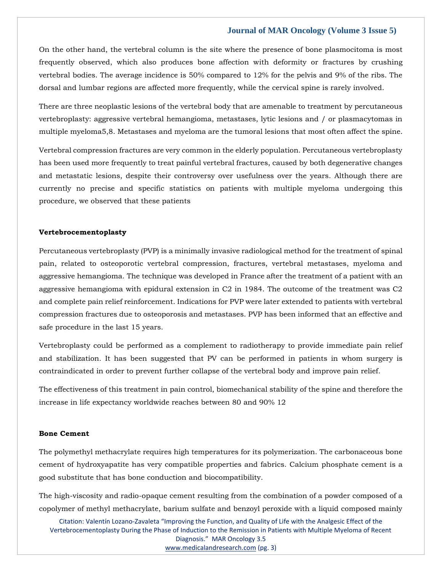On the other hand, the vertebral column is the site where the presence of bone plasmocitoma is most frequently observed, which also produces bone affection with deformity or fractures by crushing vertebral bodies. The average incidence is 50% compared to 12% for the pelvis and 9% of the ribs. The dorsal and lumbar regions are affected more frequently, while the cervical spine is rarely involved.

There are three neoplastic lesions of the vertebral body that are amenable to treatment by percutaneous vertebroplasty: aggressive vertebral hemangioma, metastases, lytic lesions and / or plasmacytomas in multiple myeloma5,8. Metastases and myeloma are the tumoral lesions that most often affect the spine.

Vertebral compression fractures are very common in the elderly population. Percutaneous vertebroplasty has been used more frequently to treat painful vertebral fractures, caused by both degenerative changes and metastatic lesions, despite their controversy over usefulness over the years. Although there are currently no precise and specific statistics on patients with multiple myeloma undergoing this procedure, we observed that these patients

#### **Vertebrocementoplasty**

Percutaneous vertebroplasty (PVP) is a minimally invasive radiological method for the treatment of spinal pain, related to osteoporotic vertebral compression, fractures, vertebral metastases, myeloma and aggressive hemangioma. The technique was developed in France after the treatment of a patient with an aggressive hemangioma with epidural extension in C2 in 1984. The outcome of the treatment was C2 and complete pain relief reinforcement. Indications for PVP were later extended to patients with vertebral compression fractures due to osteoporosis and metastases. PVP has been informed that an effective and safe procedure in the last 15 years.

Vertebroplasty could be performed as a complement to radiotherapy to provide immediate pain relief and stabilization. It has been suggested that PV can be performed in patients in whom surgery is contraindicated in order to prevent further collapse of the vertebral body and improve pain relief.

The effectiveness of this treatment in pain control, biomechanical stability of the spine and therefore the increase in life expectancy worldwide reaches between 80 and 90% 12

#### **Bone Cement**

The polymethyl methacrylate requires high temperatures for its polymerization. The carbonaceous bone cement of hydroxyapatite has very compatible properties and fabrics. Calcium phosphate cement is a good substitute that has bone conduction and biocompatibility.

The high-viscosity and radio-opaque cement resulting from the combination of a powder composed of a copolymer of methyl methacrylate, barium sulfate and benzoyl peroxide with a liquid composed mainly

Citation: Valentín Lozano-Zavaleta "Improving the Function, and Quality of Life with the Analgesic Effect of the Vertebrocementoplasty During the Phase of Induction to the Remission in Patients with Multiple Myeloma of Recent Diagnosis." MAR Oncology 3.5 [www.medicalandresearch.com](http://www.medicalandresearch.com/) (pg. 3)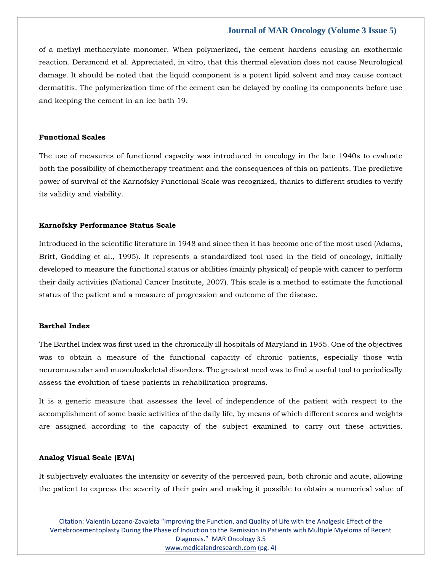of a methyl methacrylate monomer. When polymerized, the cement hardens causing an exothermic reaction. Deramond et al. Appreciated, in vitro, that this thermal elevation does not cause Neurological damage. It should be noted that the liquid component is a potent lipid solvent and may cause contact dermatitis. The polymerization time of the cement can be delayed by cooling its components before use and keeping the cement in an ice bath 19.

#### **Functional Scales**

The use of measures of functional capacity was introduced in oncology in the late 1940s to evaluate both the possibility of chemotherapy treatment and the consequences of this on patients. The predictive power of survival of the Karnofsky Functional Scale was recognized, thanks to different studies to verify its validity and viability.

#### **Karnofsky Performance Status Scale**

Introduced in the scientific literature in 1948 and since then it has become one of the most used (Adams, Britt, Godding et al., 1995). It represents a standardized tool used in the field of oncology, initially developed to measure the functional status or abilities (mainly physical) of people with cancer to perform their daily activities (National Cancer Institute, 2007). This scale is a method to estimate the functional status of the patient and a measure of progression and outcome of the disease.

#### **Barthel Index**

The Barthel Index was first used in the chronically ill hospitals of Maryland in 1955. One of the objectives was to obtain a measure of the functional capacity of chronic patients, especially those with neuromuscular and musculoskeletal disorders. The greatest need was to find a useful tool to periodically assess the evolution of these patients in rehabilitation programs.

It is a generic measure that assesses the level of independence of the patient with respect to the accomplishment of some basic activities of the daily life, by means of which different scores and weights are assigned according to the capacity of the subject examined to carry out these activities.

#### **Analog Visual Scale (EVA)**

It subjectively evaluates the intensity or severity of the perceived pain, both chronic and acute, allowing the patient to express the severity of their pain and making it possible to obtain a numerical value of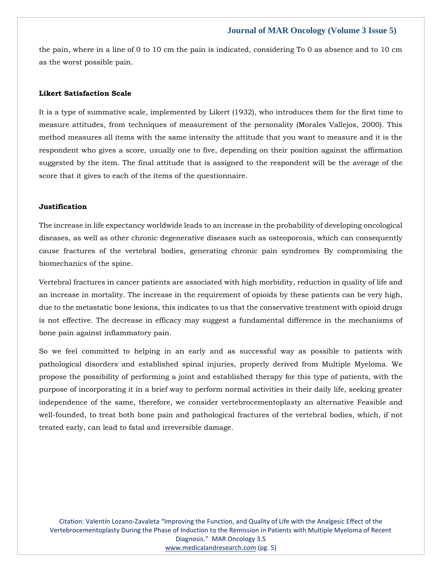the pain, where in a line of 0 to 10 cm the pain is indicated, considering To 0 as absence and to 10 cm as the worst possible pain.

#### **Likert Satisfaction Scale**

It is a type of summative scale, implemented by Likert (1932), who introduces them for the first time to measure attitudes, from techniques of measurement of the personality (Morales Vallejos, 2000). This method measures all items with the same intensity the attitude that you want to measure and it is the respondent who gives a score, usually one to five, depending on their position against the affirmation suggested by the item. The final attitude that is assigned to the respondent will be the average of the score that it gives to each of the items of the questionnaire.

# **Justification**

The increase in life expectancy worldwide leads to an increase in the probability of developing oncological diseases, as well as other chronic degenerative diseases such as osteoporosis, which can consequently cause fractures of the vertebral bodies, generating chronic pain syndromes By compromising the biomechanics of the spine.

Vertebral fractures in cancer patients are associated with high morbidity, reduction in quality of life and an increase in mortality. The increase in the requirement of opioids by these patients can be very high, due to the metastatic bone lesions, this indicates to us that the conservative treatment with opioid drugs is not effective. The decrease in efficacy may suggest a fundamental difference in the mechanisms of bone pain against inflammatory pain.

So we feel committed to helping in an early and as successful way as possible to patients with pathological disorders and established spinal injuries, properly derived from Multiple Myeloma. We propose the possibility of performing a joint and established therapy for this type of patients, with the purpose of incorporating it in a brief way to perform normal activities in their daily life, seeking greater independence of the same, therefore, we consider vertebrocementoplasty an alternative Feasible and well-founded, to treat both bone pain and pathological fractures of the vertebral bodies, which, if not treated early, can lead to fatal and irreversible damage.

Citation: Valentín Lozano-Zavaleta "Improving the Function, and Quality of Life with the Analgesic Effect of the Vertebrocementoplasty During the Phase of Induction to the Remission in Patients with Multiple Myeloma of Recent Diagnosis." MAR Oncology 3.5 [www.medicalandresearch.com](http://www.medicalandresearch.com/) (pg. 5)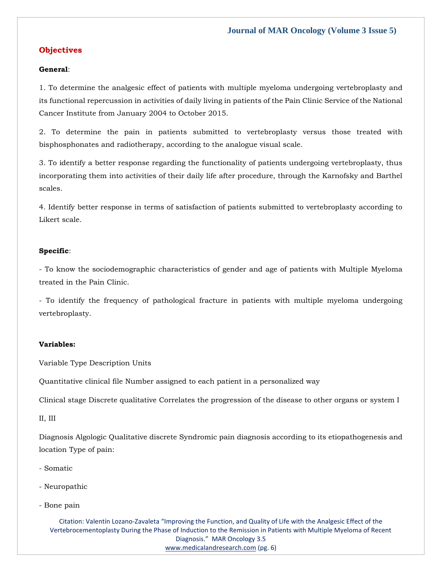# **Objectives**

#### **General**:

1. To determine the analgesic effect of patients with multiple myeloma undergoing vertebroplasty and its functional repercussion in activities of daily living in patients of the Pain Clinic Service of the National Cancer Institute from January 2004 to October 2015.

2. To determine the pain in patients submitted to vertebroplasty versus those treated with bisphosphonates and radiotherapy, according to the analogue visual scale.

3. To identify a better response regarding the functionality of patients undergoing vertebroplasty, thus incorporating them into activities of their daily life after procedure, through the Karnofsky and Barthel scales.

4. Identify better response in terms of satisfaction of patients submitted to vertebroplasty according to Likert scale.

#### **Specific**:

- To know the sociodemographic characteristics of gender and age of patients with Multiple Myeloma treated in the Pain Clinic.

- To identify the frequency of pathological fracture in patients with multiple myeloma undergoing vertebroplasty.

#### **Variables:**

Variable Type Description Units

Quantitative clinical file Number assigned to each patient in a personalized way

Clinical stage Discrete qualitative Correlates the progression of the disease to other organs or system I

II, III

Diagnosis Algologic Qualitative discrete Syndromic pain diagnosis according to its etiopathogenesis and location Type of pain:

- Somatic
- Neuropathic
- Bone pain

Citation: Valentín Lozano-Zavaleta "Improving the Function, and Quality of Life with the Analgesic Effect of the Vertebrocementoplasty During the Phase of Induction to the Remission in Patients with Multiple Myeloma of Recent Diagnosis." MAR Oncology 3.5 [www.medicalandresearch.com](http://www.medicalandresearch.com/) (pg. 6)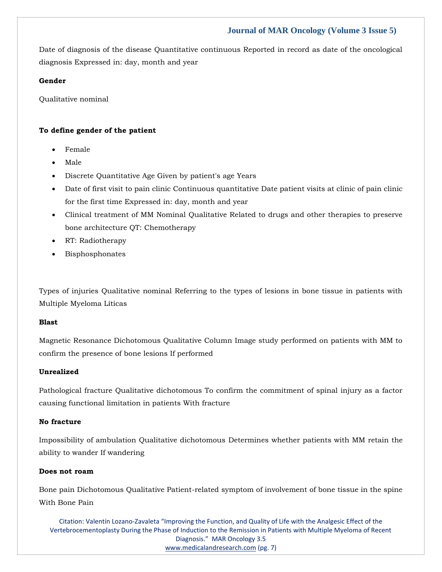Date of diagnosis of the disease Quantitative continuous Reported in record as date of the oncological diagnosis Expressed in: day, month and year

### **Gender**

Qualitative nominal

# **To define gender of the patient**

- Female
- Male
- Discrete Quantitative Age Given by patient's age Years
- Date of first visit to pain clinic Continuous quantitative Date patient visits at clinic of pain clinic for the first time Expressed in: day, month and year
- Clinical treatment of MM Nominal Qualitative Related to drugs and other therapies to preserve bone architecture QT: Chemotherapy
- RT: Radiotherapy
- **Bisphosphonates**

Types of injuries Qualitative nominal Referring to the types of lesions in bone tissue in patients with Multiple Myeloma Líticas

#### **Blast**

Magnetic Resonance Dichotomous Qualitative Column Image study performed on patients with MM to confirm the presence of bone lesions If performed

# **Unrealized**

Pathological fracture Qualitative dichotomous To confirm the commitment of spinal injury as a factor causing functional limitation in patients With fracture

#### **No fracture**

Impossibility of ambulation Qualitative dichotomous Determines whether patients with MM retain the ability to wander If wandering

#### **Does not roam**

Bone pain Dichotomous Qualitative Patient-related symptom of involvement of bone tissue in the spine With Bone Pain

Citation: Valentín Lozano-Zavaleta "Improving the Function, and Quality of Life with the Analgesic Effect of the Vertebrocementoplasty During the Phase of Induction to the Remission in Patients with Multiple Myeloma of Recent Diagnosis." MAR Oncology 3.5 [www.medicalandresearch.com](http://www.medicalandresearch.com/) (pg. 7)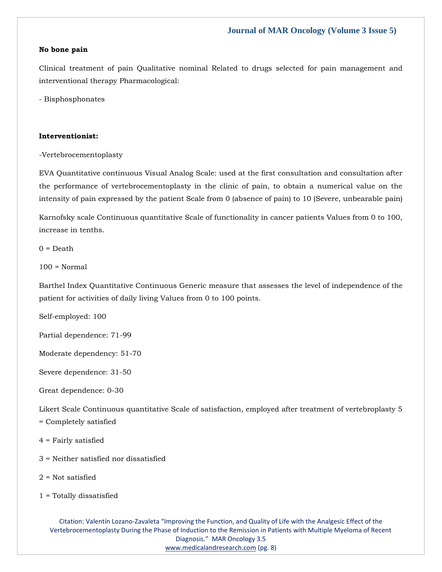#### **No bone pain**

Clinical treatment of pain Qualitative nominal Related to drugs selected for pain management and interventional therapy Pharmacological:

- Bisphosphonates

#### **Interventionist:**

-Vertebrocementoplasty

EVA Quantitative continuous Visual Analog Scale: used at the first consultation and consultation after the performance of vertebrocementoplasty in the clinic of pain, to obtain a numerical value on the intensity of pain expressed by the patient Scale from 0 (absence of pain) to 10 (Severe, unbearable pain)

Karnofsky scale Continuous quantitative Scale of functionality in cancer patients Values from 0 to 100, increase in tenths.

 $0 = \text{Death}$ 

 $100 = \text{Normal}$ 

Barthel Index Quantitative Continuous Generic measure that assesses the level of independence of the patient for activities of daily living Values from 0 to 100 points.

Self-employed: 100

Partial dependence: 71-99

Moderate dependency: 51-70

Severe dependence: 31-50

Great dependence: 0-30

Likert Scale Continuous quantitative Scale of satisfaction, employed after treatment of vertebroplasty 5 = Completely satisfied

- 4 = Fairly satisfied
- 3 = Neither satisfied nor dissatisfied
- $2$  = Not satisfied
- 1 = Totally dissatisfied

Citation: Valentín Lozano-Zavaleta "Improving the Function, and Quality of Life with the Analgesic Effect of the Vertebrocementoplasty During the Phase of Induction to the Remission in Patients with Multiple Myeloma of Recent Diagnosis." MAR Oncology 3.5 [www.medicalandresearch.com](http://www.medicalandresearch.com/) (pg. 8)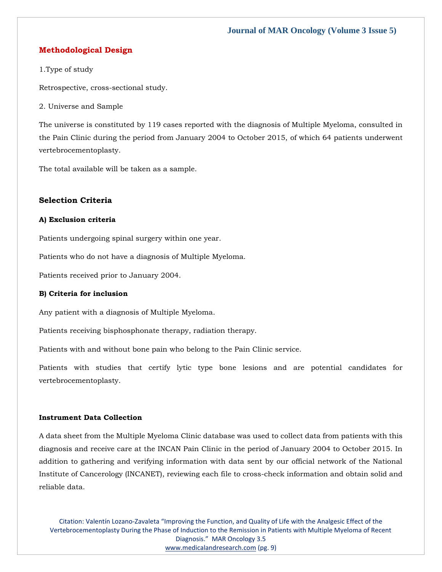# **Methodological Design**

#### 1.Type of study

Retrospective, cross-sectional study.

2. Universe and Sample

The universe is constituted by 119 cases reported with the diagnosis of Multiple Myeloma, consulted in the Pain Clinic during the period from January 2004 to October 2015, of which 64 patients underwent vertebrocementoplasty.

The total available will be taken as a sample.

# **Selection Criteria**

#### **A) Exclusion criteria**

Patients undergoing spinal surgery within one year.

Patients who do not have a diagnosis of Multiple Myeloma.

Patients received prior to January 2004.

#### **B) Criteria for inclusion**

Any patient with a diagnosis of Multiple Myeloma.

Patients receiving bisphosphonate therapy, radiation therapy.

Patients with and without bone pain who belong to the Pain Clinic service.

Patients with studies that certify lytic type bone lesions and are potential candidates for vertebrocementoplasty.

#### **Instrument Data Collection**

A data sheet from the Multiple Myeloma Clinic database was used to collect data from patients with this diagnosis and receive care at the INCAN Pain Clinic in the period of January 2004 to October 2015. In addition to gathering and verifying information with data sent by our official network of the National Institute of Cancerology (INCANET), reviewing each file to cross-check information and obtain solid and reliable data.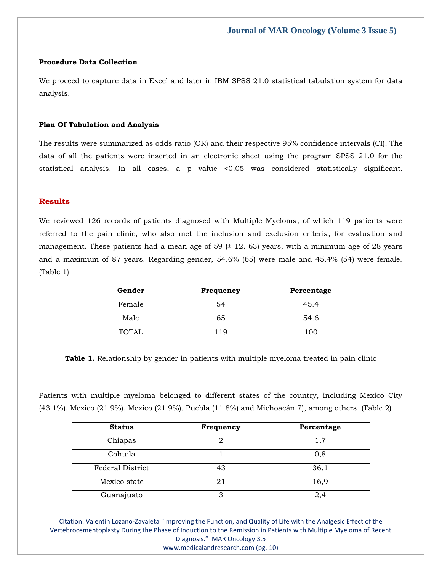#### **Procedure Data Collection**

We proceed to capture data in Excel and later in IBM SPSS 21.0 statistical tabulation system for data analysis.

#### **Plan Of Tabulation and Analysis**

The results were summarized as odds ratio (OR) and their respective 95% confidence intervals (CI). The data of all the patients were inserted in an electronic sheet using the program SPSS 21.0 for the statistical analysis. In all cases, a p value <0.05 was considered statistically significant.

#### **Results**

We reviewed 126 records of patients diagnosed with Multiple Myeloma, of which 119 patients were referred to the pain clinic, who also met the inclusion and exclusion criteria, for evaluation and management. These patients had a mean age of 59  $(± 12.63)$  years, with a minimum age of 28 years and a maximum of 87 years. Regarding gender, 54.6% (65) were male and 45.4% (54) were female. (Table 1)

| Gender       | <b>Frequency</b> | Percentage |
|--------------|------------------|------------|
| Female       | 54               | 45.4       |
| Male         | 65               | 54.6       |
| <b>TOTAL</b> | 119              | 100        |

**Table 1.** Relationship by gender in patients with multiple myeloma treated in pain clinic

Patients with multiple myeloma belonged to different states of the country, including Mexico City (43.1%), Mexico (21.9%), Mexico (21.9%), Puebla (11.8%) and Michoacán 7), among others. (Table 2)

| <b>Status</b>    | Frequency | Percentage |
|------------------|-----------|------------|
| Chiapas          |           | 1,7        |
| Cohuila          |           | 0,8        |
| Federal District | 43        | 36,1       |
| Mexico state     | 21        | 16,9       |
| Guanajuato       | 3         | 2,4        |

Citation: Valentín Lozano-Zavaleta "Improving the Function, and Quality of Life with the Analgesic Effect of the Vertebrocementoplasty During the Phase of Induction to the Remission in Patients with Multiple Myeloma of Recent Diagnosis." MAR Oncology 3.5

[www.medicalandresearch.com](http://www.medicalandresearch.com/) (pg. 10)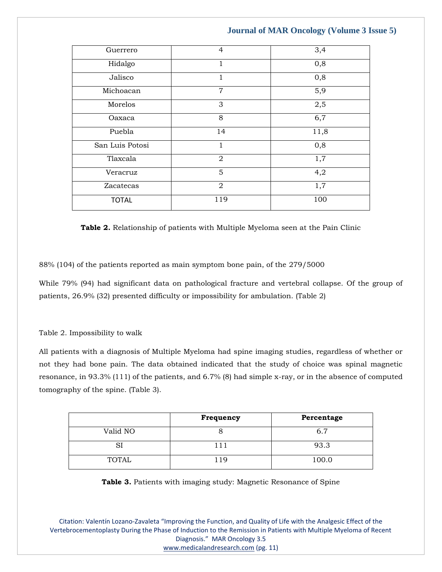| Guerrero        | $\overline{4}$ | 3,4  |
|-----------------|----------------|------|
| Hidalgo         |                | 0,8  |
| Jalisco         |                | 0,8  |
| Michoacan       | $\overline{7}$ | 5,9  |
| Morelos         | 3              | 2,5  |
| Oaxaca          | 8              | 6,7  |
| Puebla          | 14             | 11,8 |
| San Luis Potosi | 1              | 0,8  |
| Tlaxcala        | $\overline{2}$ | 1,7  |
| Veracruz        | 5              | 4,2  |
| Zacatecas       | $\overline{2}$ | 1,7  |
| <b>TOTAL</b>    | 119            | 100  |
|                 |                |      |

**Table 2.** Relationship of patients with Multiple Myeloma seen at the Pain Clinic

88% (104) of the patients reported as main symptom bone pain, of the 279/5000

While 79% (94) had significant data on pathological fracture and vertebral collapse. Of the group of patients, 26.9% (32) presented difficulty or impossibility for ambulation. (Table 2)

# Table 2. Impossibility to walk

All patients with a diagnosis of Multiple Myeloma had spine imaging studies, regardless of whether or not they had bone pain. The data obtained indicated that the study of choice was spinal magnetic resonance, in 93.3% (111) of the patients, and 6.7% (8) had simple x-ray, or in the absence of computed tomography of the spine. (Table 3).

|              | Frequency | Percentage |
|--------------|-----------|------------|
| Valid NO     |           | 6.7        |
| נכ           |           | 93.3       |
| <b>TOTAL</b> | 19        | 100.0      |

**Table 3.** Patients with imaging study: Magnetic Resonance of Spine

Citation: Valentín Lozano-Zavaleta "Improving the Function, and Quality of Life with the Analgesic Effect of the Vertebrocementoplasty During the Phase of Induction to the Remission in Patients with Multiple Myeloma of Recent Diagnosis." MAR Oncology 3.5 [www.medicalandresearch.com](http://www.medicalandresearch.com/) (pg. 11)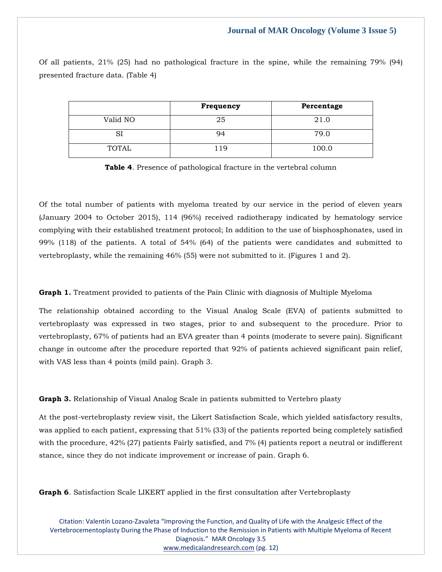Of all patients, 21% (25) had no pathological fracture in the spine, while the remaining 79% (94) presented fracture data. (Table 4)

|              | Frequency | Percentage |
|--------------|-----------|------------|
| Valid NO     | 25        | 21.0       |
|              | 94        | 79.0       |
| <b>TOTAL</b> | - 1 Q     | 100.0      |

**Table 4**. Presence of pathological fracture in the vertebral column

Of the total number of patients with myeloma treated by our service in the period of eleven years (January 2004 to October 2015), 114 (96%) received radiotherapy indicated by hematology service complying with their established treatment protocol; In addition to the use of bisphosphonates, used in 99% (118) of the patients. A total of 54% (64) of the patients were candidates and submitted to vertebroplasty, while the remaining 46% (55) were not submitted to it. (Figures 1 and 2).

**Graph 1.** Treatment provided to patients of the Pain Clinic with diagnosis of Multiple Myeloma

The relationship obtained according to the Visual Analog Scale (EVA) of patients submitted to vertebroplasty was expressed in two stages, prior to and subsequent to the procedure. Prior to vertebroplasty, 67% of patients had an EVA greater than 4 points (moderate to severe pain). Significant change in outcome after the procedure reported that 92% of patients achieved significant pain relief, with VAS less than 4 points (mild pain). Graph 3.

**Graph 3.** Relationship of Visual Analog Scale in patients submitted to Vertebro plasty

At the post-vertebroplasty review visit, the Likert Satisfaction Scale, which yielded satisfactory results, was applied to each patient, expressing that 51% (33) of the patients reported being completely satisfied with the procedure, 42% (27) patients Fairly satisfied, and 7% (4) patients report a neutral or indifferent stance, since they do not indicate improvement or increase of pain. Graph 6.

**Graph 6**. Satisfaction Scale LIKERT applied in the first consultation after Vertebroplasty

Citation: Valentín Lozano-Zavaleta "Improving the Function, and Quality of Life with the Analgesic Effect of the Vertebrocementoplasty During the Phase of Induction to the Remission in Patients with Multiple Myeloma of Recent Diagnosis." MAR Oncology 3.5 [www.medicalandresearch.com](http://www.medicalandresearch.com/) (pg. 12)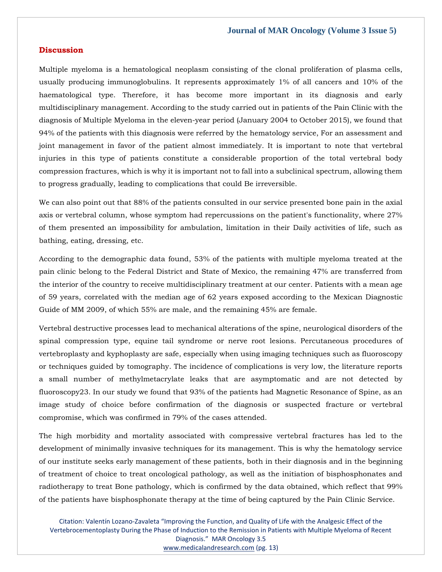#### **Discussion**

Multiple myeloma is a hematological neoplasm consisting of the clonal proliferation of plasma cells, usually producing immunoglobulins. It represents approximately 1% of all cancers and 10% of the haematological type. Therefore, it has become more important in its diagnosis and early multidisciplinary management. According to the study carried out in patients of the Pain Clinic with the diagnosis of Multiple Myeloma in the eleven-year period (January 2004 to October 2015), we found that 94% of the patients with this diagnosis were referred by the hematology service, For an assessment and joint management in favor of the patient almost immediately. It is important to note that vertebral injuries in this type of patients constitute a considerable proportion of the total vertebral body compression fractures, which is why it is important not to fall into a subclinical spectrum, allowing them to progress gradually, leading to complications that could Be irreversible.

We can also point out that 88% of the patients consulted in our service presented bone pain in the axial axis or vertebral column, whose symptom had repercussions on the patient's functionality, where 27% of them presented an impossibility for ambulation, limitation in their Daily activities of life, such as bathing, eating, dressing, etc.

According to the demographic data found, 53% of the patients with multiple myeloma treated at the pain clinic belong to the Federal District and State of Mexico, the remaining 47% are transferred from the interior of the country to receive multidisciplinary treatment at our center. Patients with a mean age of 59 years, correlated with the median age of 62 years exposed according to the Mexican Diagnostic Guide of MM 2009, of which 55% are male, and the remaining 45% are female.

Vertebral destructive processes lead to mechanical alterations of the spine, neurological disorders of the spinal compression type, equine tail syndrome or nerve root lesions. Percutaneous procedures of vertebroplasty and kyphoplasty are safe, especially when using imaging techniques such as fluoroscopy or techniques guided by tomography. The incidence of complications is very low, the literature reports a small number of methylmetacrylate leaks that are asymptomatic and are not detected by fluoroscopy23. In our study we found that 93% of the patients had Magnetic Resonance of Spine, as an image study of choice before confirmation of the diagnosis or suspected fracture or vertebral compromise, which was confirmed in 79% of the cases attended.

The high morbidity and mortality associated with compressive vertebral fractures has led to the development of minimally invasive techniques for its management. This is why the hematology service of our institute seeks early management of these patients, both in their diagnosis and in the beginning of treatment of choice to treat oncological pathology, as well as the initiation of bisphosphonates and radiotherapy to treat Bone pathology, which is confirmed by the data obtained, which reflect that 99% of the patients have bisphosphonate therapy at the time of being captured by the Pain Clinic Service.

Citation: Valentín Lozano-Zavaleta "Improving the Function, and Quality of Life with the Analgesic Effect of the Vertebrocementoplasty During the Phase of Induction to the Remission in Patients with Multiple Myeloma of Recent Diagnosis." MAR Oncology 3.5 [www.medicalandresearch.com](http://www.medicalandresearch.com/) (pg. 13)